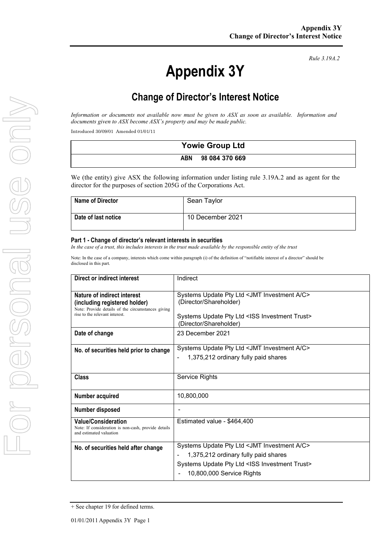# **Appendix 3Y**

*Rule 3.19A.2*

# **Change of Director's Interest Notice**

*Information or documents not available now must be given to ASX as soon as available. Information and documents given to ASX become ASX's property and may be made public.*

Introduced 30/09/01 Amended 01/01/11

| <b>Yowie Group Ltd</b> |                |
|------------------------|----------------|
| <b>ABN</b>             | 98 084 370 669 |

We (the entity) give ASX the following information under listing rule 3.19A.2 and as agent for the director for the purposes of section 205G of the Corporations Act.

| <b>Name of Director</b> | Sean Taylor      |
|-------------------------|------------------|
| Date of last notice     | 10 December 2021 |

#### **Part 1 - Change of director's relevant interests in securities**

*In the case of a trust, this includes interests in the trust made available by the responsible entity of the trust*

Note: In the case of a company, interests which come within paragraph (i) of the definition of "notifiable interest of a director" should be disclosed in this part.

| Direct or indirect interest                                                                                                                         | Indirect                                                                                                                                                                                        |
|-----------------------------------------------------------------------------------------------------------------------------------------------------|-------------------------------------------------------------------------------------------------------------------------------------------------------------------------------------------------|
| Nature of indirect interest<br>(including registered holder)<br>Note: Provide details of the circumstances giving<br>rise to the relevant interest. | Systems Update Pty Ltd <jmt a="" c="" investment=""><br/>(Director/Shareholder)<br/>Systems Update Pty Ltd <iss investment="" trust=""><br/>(Director/Shareholder)</iss></jmt>                  |
| Date of change                                                                                                                                      | 23 December 2021                                                                                                                                                                                |
| No. of securities held prior to change                                                                                                              | Systems Update Pty Ltd <jmt a="" c="" investment=""><br/>1,375,212 ordinary fully paid shares<br/><math display="inline">\blacksquare</math></jmt>                                              |
| <b>Class</b>                                                                                                                                        | Service Rights                                                                                                                                                                                  |
| Number acquired                                                                                                                                     | 10,800,000                                                                                                                                                                                      |
| Number disposed                                                                                                                                     |                                                                                                                                                                                                 |
| <b>Value/Consideration</b><br>Note: If consideration is non-cash, provide details<br>and estimated valuation                                        | Estimated value - \$464,400                                                                                                                                                                     |
| No. of securities held after change                                                                                                                 | Systems Update Pty Ltd <jmt a="" c="" investment=""><br/>1,375,212 ordinary fully paid shares<br/>Systems Update Pty Ltd <iss investment="" trust=""><br/>10,800,000 Service Rights</iss></jmt> |

<sup>+</sup> See chapter 19 for defined terms.